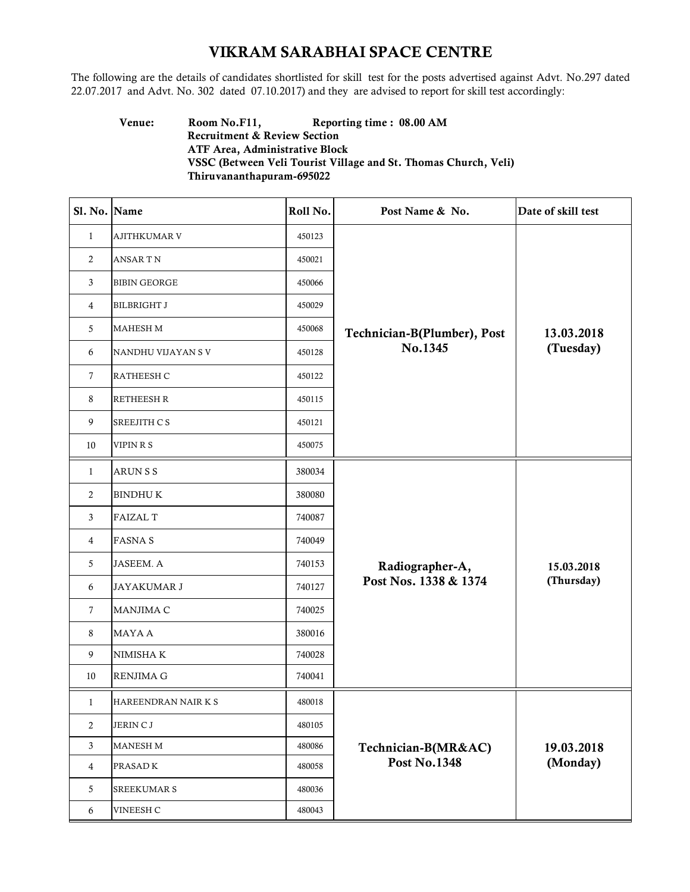## VIKRAM SARABHAI SPACE CENTRE

The following are the details of candidates shortlisted for skill test for the posts advertised against Advt. No.297 dated 22.07.2017 and Advt. No. 302 dated 07.10.2017) and they are advised to report for skill test accordingly:

## Venue: Room No.F11, Reporting time : 08.00 AM Recruitment & Review Section ATF Area, Administrative Block VSSC (Between Veli Tourist Village and St. Thomas Church, Veli) Thiruvananthapuram-695022

| Sl. No. Name   |                     | Roll No. | Post Name & No.             | Date of skill test       |
|----------------|---------------------|----------|-----------------------------|--------------------------|
| $\mathbf{1}$   | AJITHKUMAR V        | 450123   |                             |                          |
| 2              | <b>ANSARTN</b>      | 450021   |                             | 13.03.2018<br>(Tuesday)  |
| 3              | <b>BIBIN GEORGE</b> | 450066   |                             |                          |
| 4              | <b>BILBRIGHT J</b>  | 450029   |                             |                          |
| 5              | MAHESH M            | 450068   | Technician-B(Plumber), Post |                          |
| 6              | NANDHU VIJAYAN SV   | 450128   | No.1345                     |                          |
| $\tau$         | RATHEESH C          | 450122   |                             |                          |
| 8              | <b>RETHEESH R</b>   | 450115   |                             |                          |
| 9              | SREEJITH C S        | 450121   |                             |                          |
| 10             | VIPIN R S           | 450075   |                             |                          |
| $\mathbf{1}$   | <b>ARUNSS</b>       | 380034   |                             | 15.03.2018<br>(Thursday) |
| 2              | <b>BINDHUK</b>      | 380080   |                             |                          |
| 3              | <b>FAIZAL T</b>     | 740087   |                             |                          |
| 4              | <b>FASNA S</b>      | 740049   |                             |                          |
| 5              | <b>JASEEM. A</b>    | 740153   | Radiographer-A,             |                          |
| 6              | JAYAKUMAR J         | 740127   | Post Nos. 1338 & 1374       |                          |
| 7              | MANJIMA C           | 740025   |                             |                          |
| 8              | <b>MAYAA</b>        | 380016   |                             |                          |
| 9              | NIMISHA K           | 740028   |                             |                          |
| 10             | <b>RENJIMA G</b>    | 740041   |                             |                          |
| 1              | HAREENDRAN NAIR K S | 480018   |                             |                          |
| 2              | JERIN C J           | 480105   |                             |                          |
| 3              | <b>MANESH M</b>     | 480086   | Technician-B(MR&AC)         | 19.03.2018<br>(Monday)   |
| $\overline{4}$ | PRASAD <sub>K</sub> | 480058   | <b>Post No.1348</b>         |                          |
| 5              | <b>SREEKUMAR S</b>  | 480036   |                             |                          |
| 6              | VINEESH C           | 480043   |                             |                          |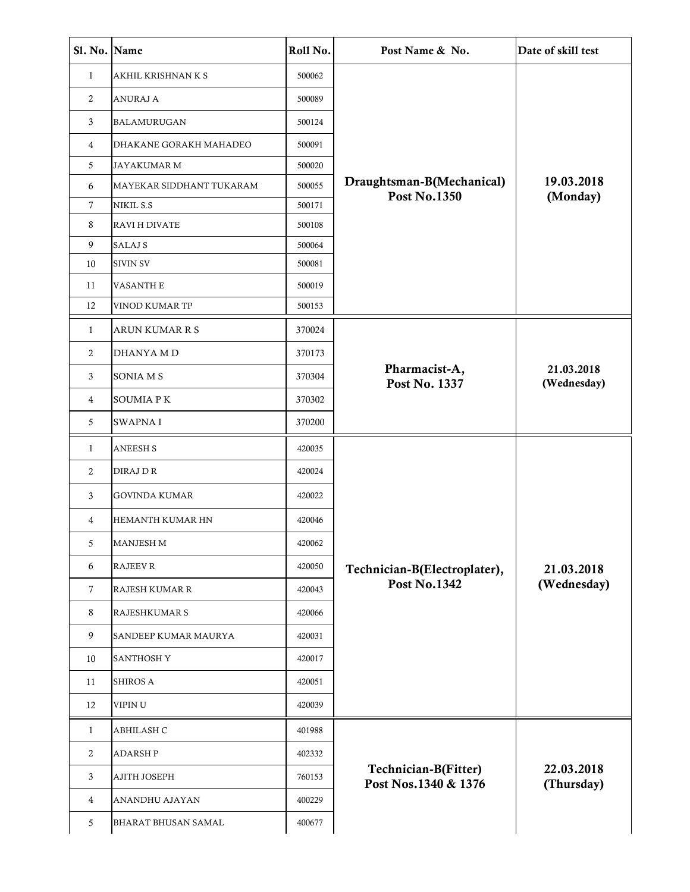| Sl. No. Name |                            | Roll No. | Post Name & No.                              | Date of skill test        |
|--------------|----------------------------|----------|----------------------------------------------|---------------------------|
| $\mathbf{1}$ | AKHIL KRISHNAN K S         | 500062   |                                              |                           |
| 2            | <b>ANURAJ A</b>            | 500089   |                                              |                           |
| 3            | <b>BALAMURUGAN</b>         | 500124   |                                              |                           |
| 4            | DHAKANE GORAKH MAHADEO     | 500091   |                                              |                           |
| 5            | <b>JAYAKUMAR M</b>         | 500020   |                                              |                           |
| 6            | MAYEKAR SIDDHANT TUKARAM   | 500055   | Draughtsman-B(Mechanical)                    | 19.03.2018                |
| 7            | NIKIL S.S                  | 500171   | <b>Post No.1350</b>                          | (Monday)                  |
| 8            | <b>RAVI H DIVATE</b>       | 500108   |                                              |                           |
| 9            | <b>SALAJ S</b>             | 500064   |                                              |                           |
| 10           | <b>SIVIN SV</b>            | 500081   |                                              |                           |
| 11           | <b>VASANTH E</b>           | 500019   |                                              |                           |
| 12           | VINOD KUMAR TP             | 500153   |                                              |                           |
| 1            | ARUN KUMAR R S             | 370024   |                                              |                           |
| 2            | DHANYA M D                 | 370173   |                                              |                           |
| 3            | <b>SONIA MS</b>            | 370304   | Pharmacist-A,<br>Post No. 1337               | 21.03.2018<br>(Wednesday) |
| 4            | <b>SOUMIA PK</b>           | 370302   |                                              |                           |
| 5            | <b>SWAPNA I</b>            | 370200   |                                              |                           |
| 1            | <b>ANEESH S</b>            | 420035   |                                              |                           |
| 2            | DIRAJ DR                   | 420024   |                                              |                           |
| 3            | <b>GOVINDA KUMAR</b>       | 420022   |                                              |                           |
| 4            | HEMANTH KUMAR HN           | 420046   |                                              |                           |
| 5            | <b>MANJESH M</b>           | 420062   |                                              |                           |
| 6            | <b>RAJEEV R</b>            | 420050   | Technician-B(Electroplater),                 | 21.03.2018                |
| 7            | <b>RAJESH KUMAR R</b>      | 420043   | <b>Post No.1342</b>                          | (Wednesday)               |
| 8            | RAJESHKUMAR S              | 420066   |                                              |                           |
| 9            | SANDEEP KUMAR MAURYA       | 420031   |                                              |                           |
| 10           | <b>SANTHOSH Y</b>          | 420017   |                                              |                           |
| 11           | <b>SHIROS A</b>            | 420051   |                                              |                           |
| 12           | VIPIN U                    | 420039   |                                              |                           |
| $\mathbf{1}$ | ABHILASH C                 | 401988   |                                              | 22.03.2018<br>(Thursday)  |
| 2            | <b>ADARSHP</b>             | 402332   |                                              |                           |
| 3            | <b>AJITH JOSEPH</b>        | 760153   | Technician-B(Fitter)<br>Post Nos.1340 & 1376 |                           |
| 4            | ANANDHU AJAYAN             | 400229   |                                              |                           |
| 5            | <b>BHARAT BHUSAN SAMAL</b> | 400677   |                                              |                           |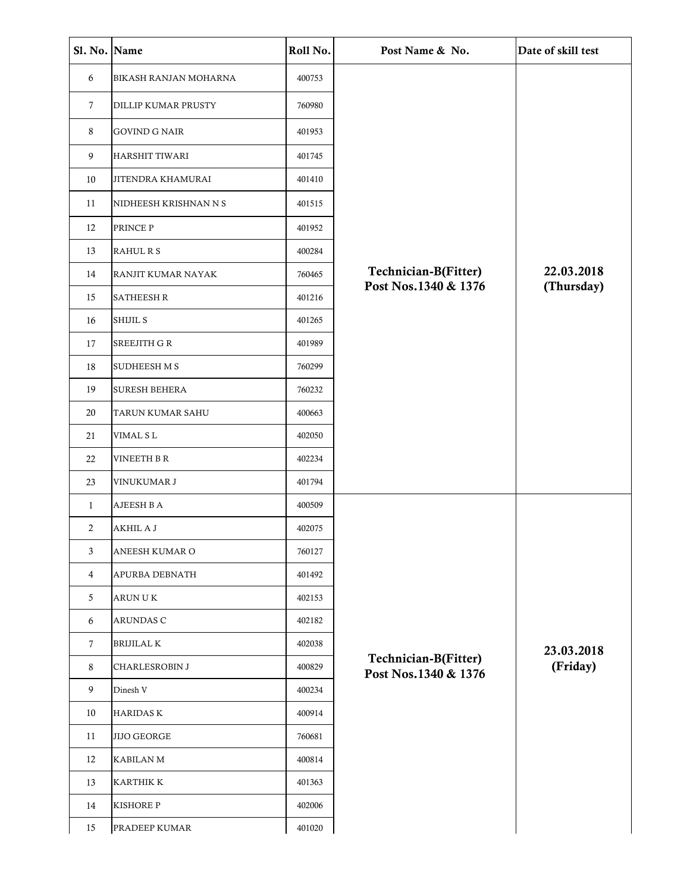| Sl. No. Name   |                          | Roll No. | Post Name & No.                              | Date of skill test |
|----------------|--------------------------|----------|----------------------------------------------|--------------------|
| 6              | BIKASH RANJAN MOHARNA    | 400753   |                                              |                    |
| $\tau$         | DILLIP KUMAR PRUSTY      | 760980   |                                              |                    |
| 8              | <b>GOVIND G NAIR</b>     | 401953   |                                              |                    |
| 9              | HARSHIT TIWARI           | 401745   |                                              |                    |
| 10             | <b>JITENDRA KHAMURAI</b> | 401410   |                                              |                    |
| 11             | NIDHEESH KRISHNAN N S    | 401515   |                                              |                    |
| 12             | PRINCE P                 | 401952   |                                              |                    |
| 13             | RAHUL R S                | 400284   |                                              |                    |
| 14             | RANJIT KUMAR NAYAK       | 760465   | Technician-B(Fitter)                         | 22.03.2018         |
| 15             | <b>SATHEESH R</b>        | 401216   | Post Nos.1340 & 1376                         | (Thursday)         |
| 16             | SHIJIL S                 | 401265   |                                              |                    |
| 17             | SREEJITH G R             | 401989   |                                              |                    |
| 18             | SUDHEESH M S             | 760299   |                                              |                    |
| 19             | <b>SURESH BEHERA</b>     | 760232   |                                              |                    |
| 20             | TARUN KUMAR SAHU         | 400663   |                                              |                    |
| 21             | VIMAL S L                | 402050   |                                              |                    |
| 22             | VINEETH B R              | 402234   |                                              |                    |
| 23             | VINUKUMAR J              | 401794   |                                              |                    |
| 1              | AJEESH B A               | 400509   |                                              |                    |
| $\overline{c}$ | AKHIL A J                | 402075   |                                              |                    |
| 3              | ANEESH KUMAR O           | 760127   |                                              |                    |
| 4              | APURBA DEBNATH           | 401492   |                                              |                    |
| 5              | ARUNUK                   | 402153   |                                              |                    |
| 6              | ARUNDAS C                | 402182   |                                              |                    |
| $\overline{7}$ | <b>BRIJILAL K</b>        | 402038   |                                              | 23.03.2018         |
| 8              | <b>CHARLESROBIN J</b>    | 400829   | Technician-B(Fitter)<br>Post Nos.1340 & 1376 | (Friday)           |
| 9              | Dinesh V                 | 400234   |                                              |                    |
| 10             | <b>HARIDASK</b>          | 400914   |                                              |                    |
| 11             | <b>JIJO GEORGE</b>       | 760681   |                                              |                    |
| 12             | <b>KABILANM</b>          | 400814   |                                              |                    |
| 13             | <b>KARTHIK K</b>         | 401363   |                                              |                    |
| 14             | <b>KISHORE P</b>         | 402006   |                                              |                    |
| 15             | PRADEEP KUMAR            | 401020   |                                              |                    |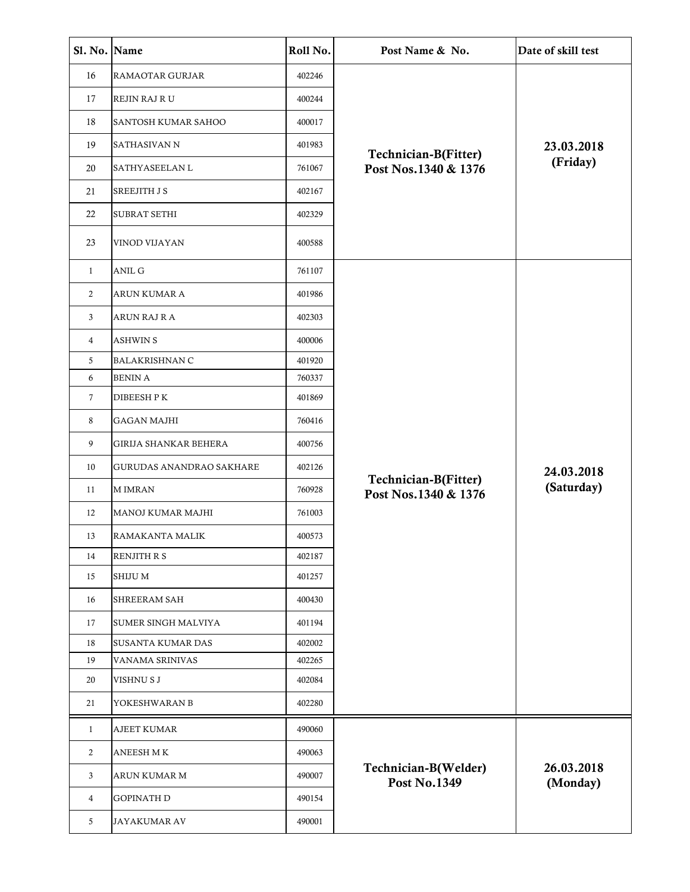| Sl. No. Name   |                              | Roll No. | Post Name & No.                              | Date of skill test |
|----------------|------------------------------|----------|----------------------------------------------|--------------------|
| 16             | RAMAOTAR GURJAR              | 402246   |                                              |                    |
| 17             | REJIN RAJ R U                | 400244   |                                              |                    |
| 18             | SANTOSH KUMAR SAHOO          | 400017   |                                              |                    |
| 19             | <b>SATHASIVAN N</b>          | 401983   |                                              | 23.03.2018         |
| 20             | SATHYASEELAN L               | 761067   | Technician-B(Fitter)<br>Post Nos.1340 & 1376 | (Friday)           |
| 21             | <b>SREEJITH J S</b>          | 402167   |                                              |                    |
| 22             | <b>SUBRAT SETHI</b>          | 402329   |                                              |                    |
| 23             | VINOD VIJAYAN                | 400588   |                                              |                    |
| $\mathbf{1}$   | <b>ANIL G</b>                | 761107   |                                              |                    |
| 2              | ARUN KUMAR A                 | 401986   |                                              |                    |
| 3              | ARUN RAJ R A                 | 402303   |                                              |                    |
| $\overline{4}$ | <b>ASHWIN S</b>              | 400006   |                                              |                    |
| 5              | <b>BALAKRISHNAN C</b>        | 401920   |                                              |                    |
| 6              | <b>BENIN A</b>               | 760337   |                                              |                    |
| $\tau$         | <b>DIBEESH PK</b>            | 401869   |                                              |                    |
| 8              | <b>GAGAN MAJHI</b>           | 760416   |                                              |                    |
| 9              | <b>GIRIJA SHANKAR BEHERA</b> | 400756   |                                              |                    |
| 10             | GURUDAS ANANDRAO SAKHARE     | 402126   |                                              | 24.03.2018         |
| 11             | <b>MIMRAN</b>                | 760928   | Technician-B(Fitter)<br>Post Nos.1340 & 1376 | (Saturday)         |
| 12             | MANOJ KUMAR MAJHI            | 761003   |                                              |                    |
| 13             | RAMAKANTA MALIK              | 400573   |                                              |                    |
| 14             | RENJITH R S                  | 402187   |                                              |                    |
| 15             | <b>SHIJUM</b>                | 401257   |                                              |                    |
| 16             | SHREERAM SAH                 | 400430   |                                              |                    |
| 17             | <b>SUMER SINGH MALVIYA</b>   | 401194   |                                              |                    |
| 18             | <b>SUSANTA KUMAR DAS</b>     | 402002   |                                              |                    |
| 19             | VANAMA SRINIVAS              | 402265   |                                              |                    |
| 20             | VISHNU S J                   | 402084   |                                              |                    |
| 21             | YOKESHWARAN B                | 402280   |                                              |                    |
| $\mathbf{1}$   | <b>AJEET KUMAR</b>           | 490060   |                                              |                    |
| 2              | <b>ANEESH MK</b>             | 490063   |                                              | 26.03.2018         |
| 3              | ARUN KUMAR M                 | 490007   | Technician-B(Welder)<br><b>Post No.1349</b>  |                    |
| 4              | <b>GOPINATH D</b>            | 490154   |                                              | (Monday)           |
| 5              | <b>JAYAKUMAR AV</b>          | 490001   |                                              |                    |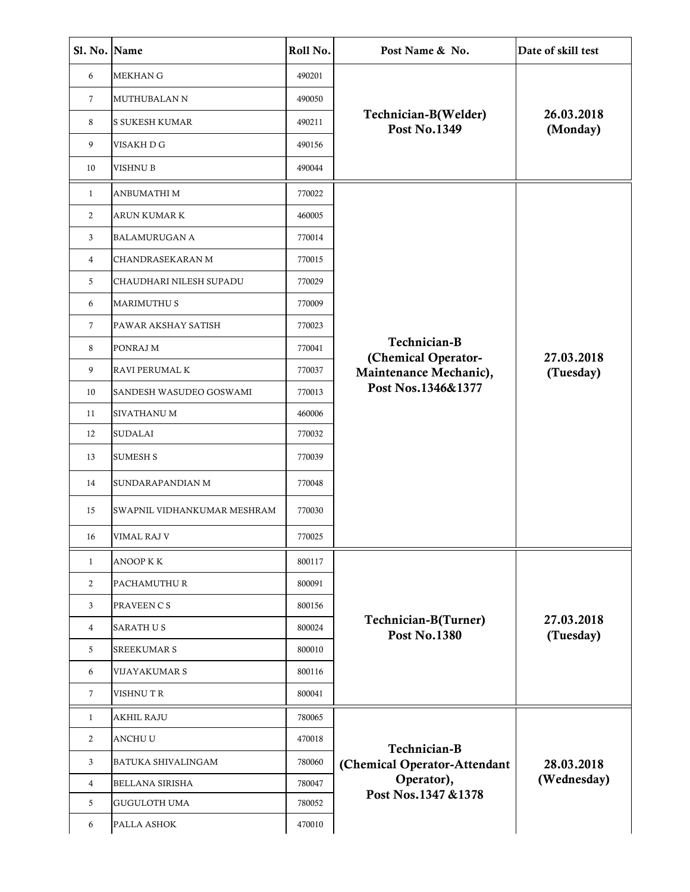| Sl. No. Name   |                             | Roll No. | Post Name & No.                               | Date of skill test        |
|----------------|-----------------------------|----------|-----------------------------------------------|---------------------------|
| 6              | <b>MEKHAN G</b>             | 490201   |                                               | 26.03.2018<br>(Monday)    |
| 7              | MUTHUBALAN N                | 490050   |                                               |                           |
| 8              | <b>S SUKESH KUMAR</b>       | 490211   | Technician-B(Welder)<br><b>Post No.1349</b>   |                           |
| 9              | VISAKH D G                  | 490156   |                                               |                           |
| 10             | VISHNU B                    | 490044   |                                               |                           |
| $\mathbf{1}$   | ANBUMATHI M                 | 770022   |                                               |                           |
| $\overline{2}$ | ARUN KUMAR K                | 460005   |                                               |                           |
| 3              | <b>BALAMURUGAN A</b>        | 770014   |                                               |                           |
| 4              | CHANDRASEKARAN M            | 770015   |                                               |                           |
| 5              | CHAUDHARI NILESH SUPADU     | 770029   |                                               |                           |
| 6              | <b>MARIMUTHUS</b>           | 770009   |                                               |                           |
| $\mathcal{I}$  | PAWAR AKSHAY SATISH         | 770023   |                                               |                           |
| 8              | PONRAJ M                    | 770041   | Technician-B                                  |                           |
| 9              | RAVI PERUMAL K              | 770037   | (Chemical Operator-<br>Maintenance Mechanic), | 27.03.2018<br>(Tuesday)   |
| 10             | SANDESH WASUDEO GOSWAMI     | 770013   | Post Nos.1346&1377                            |                           |
| 11             | SIVATHANU M                 | 460006   |                                               |                           |
| 12             | <b>SUDALAI</b>              | 770032   |                                               |                           |
| 13             | <b>SUMESH S</b>             | 770039   |                                               |                           |
| 14             | SUNDARAPANDIAN M            | 770048   |                                               |                           |
| 15             | SWAPNIL VIDHANKUMAR MESHRAM | 770030   |                                               |                           |
| 16             | VIMAL RAJ V                 | 770025   |                                               |                           |
| $\mathbf{1}$   | ANOOP K K                   | 800117   |                                               |                           |
| 2              | PACHAMUTHUR                 | 800091   |                                               |                           |
| 3              | PRAVEEN C S                 | 800156   |                                               |                           |
| 4              | <b>SARATH US</b>            | 800024   | Technician-B(Turner)<br><b>Post No.1380</b>   | 27.03.2018<br>(Tuesday)   |
| 5              | <b>SREEKUMAR S</b>          | 800010   |                                               |                           |
| 6              | VIJAYAKUMAR S               | 800116   |                                               |                           |
| 7              | <b>VISHNUTR</b>             | 800041   |                                               |                           |
| $\mathbf{1}$   | <b>AKHIL RAJU</b>           | 780065   |                                               |                           |
| 2              | ANCHU U                     | 470018   |                                               |                           |
| 3              | BATUKA SHIVALINGAM          | 780060   | Technician-B<br>(Chemical Operator-Attendant  | 28.03.2018<br>(Wednesday) |
| 4              | <b>BELLANA SIRISHA</b>      | 780047   | Operator),                                    |                           |
| 5              | <b>GUGULOTH UMA</b>         | 780052   | Post Nos.1347 &1378                           |                           |
| 6              | PALLA ASHOK                 | 470010   |                                               |                           |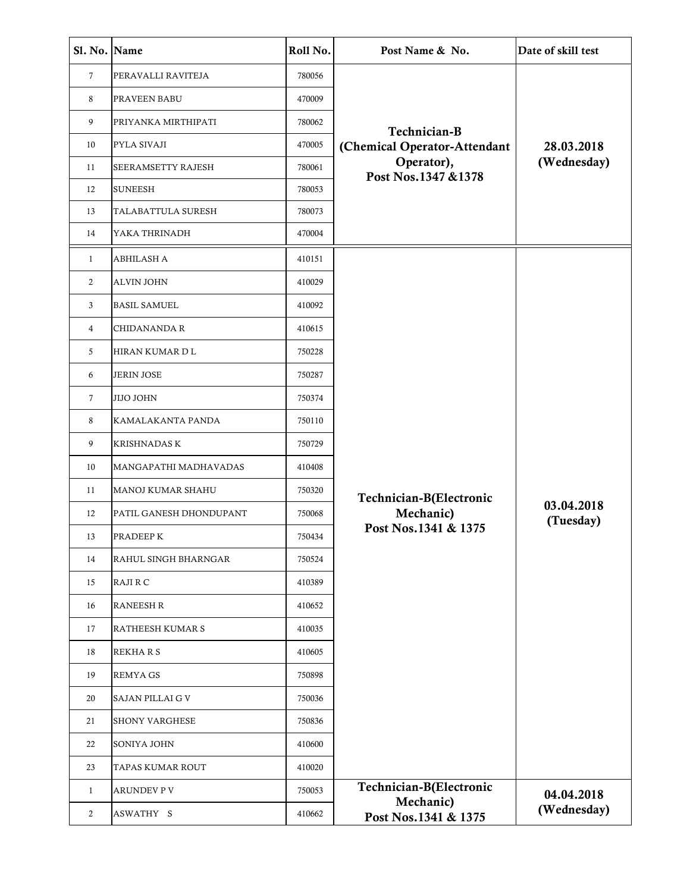| Sl. No. Name   |                          | Roll No. | Post Name & No.                   | Date of skill test      |
|----------------|--------------------------|----------|-----------------------------------|-------------------------|
| $\tau$         | PERAVALLI RAVITEJA       | 780056   |                                   | 28.03.2018              |
| 8              | PRAVEEN BABU             | 470009   |                                   |                         |
| 9              | PRIYANKA MIRTHIPATI      | 780062   | Technician-B                      |                         |
| 10             | PYLA SIVAJI              | 470005   | (Chemical Operator-Attendant      |                         |
| 11             | SEERAMSETTY RAJESH       | 780061   | Operator),<br>Post Nos.1347 &1378 | (Wednesday)             |
| 12             | <b>SUNEESH</b>           | 780053   |                                   |                         |
| 13             | TALABATTULA SURESH       | 780073   |                                   |                         |
| 14             | YAKA THRINADH            | 470004   |                                   |                         |
| $\mathbf{1}$   | <b>ABHILASH A</b>        | 410151   |                                   |                         |
| 2              | <b>ALVIN JOHN</b>        | 410029   |                                   |                         |
| 3              | <b>BASIL SAMUEL</b>      | 410092   |                                   |                         |
| 4              | <b>CHIDANANDA R</b>      | 410615   |                                   |                         |
| 5              | HIRAN KUMAR D L          | 750228   |                                   |                         |
| 6              | <b>JERIN JOSE</b>        | 750287   |                                   | 03.04.2018<br>(Tuesday) |
| $\tau$         | <b>JIJO JOHN</b>         | 750374   |                                   |                         |
| 8              | KAMALAKANTA PANDA        | 750110   |                                   |                         |
| 9              | <b>KRISHNADAS K</b>      | 750729   |                                   |                         |
| 10             | MANGAPATHI MADHAVADAS    | 410408   |                                   |                         |
| 11             | <b>MANOJ KUMAR SHAHU</b> | 750320   | Technician-B(Electronic           |                         |
| 12             | PATIL GANESH DHONDUPANT  | 750068   | Mechanic)                         |                         |
| 13             | PRADEEP K                | 750434   | Post Nos.1341 & 1375              |                         |
| 14             | RAHUL SINGH BHARNGAR     | 750524   |                                   |                         |
| 15             | RAJI R C                 | 410389   |                                   |                         |
| 16             | <b>RANEESH R</b>         | 410652   |                                   |                         |
| 17             | RATHEESH KUMAR S         | 410035   |                                   |                         |
| 18             | <b>REKHARS</b>           | 410605   |                                   |                         |
| 19             | <b>REMYA GS</b>          | 750898   |                                   |                         |
| 20             | SAJAN PILLAI G V         | 750036   |                                   |                         |
| 21             | <b>SHONY VARGHESE</b>    | 750836   |                                   |                         |
| 22             | SONIYA JOHN              | 410600   |                                   |                         |
| 23             | TAPAS KUMAR ROUT         | 410020   |                                   |                         |
| $\mathbf{1}$   | <b>ARUNDEV P V</b>       | 750053   | Technician-B(Electronic           | 04.04.2018              |
| $\overline{2}$ | ASWATHY S                | 410662   | Mechanic)<br>Post Nos.1341 & 1375 | (Wednesday)             |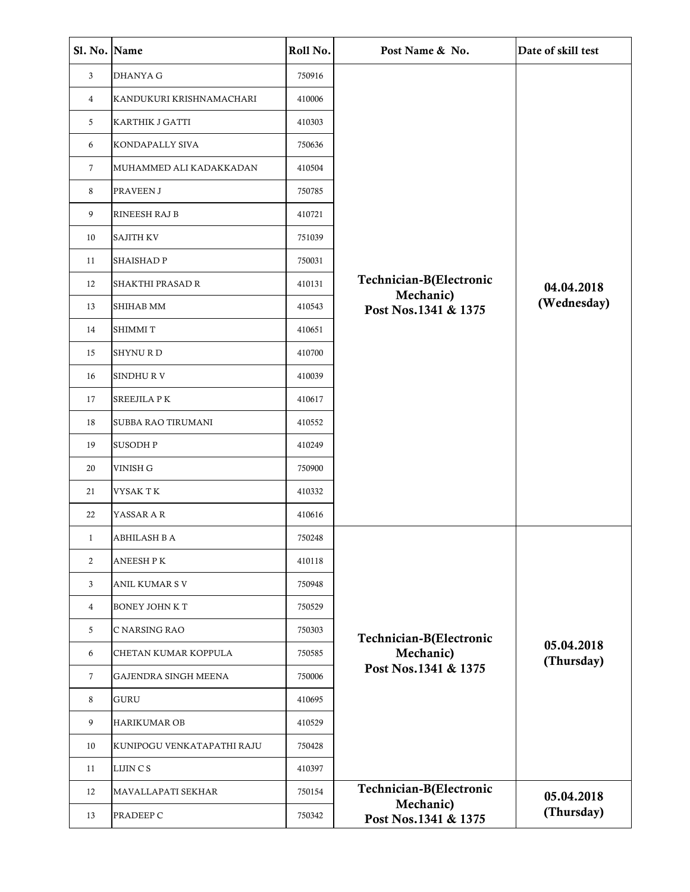| Sl. No. Name   |                            | Roll No. | Post Name & No.                   | Date of skill test       |
|----------------|----------------------------|----------|-----------------------------------|--------------------------|
| 3              | <b>DHANYA G</b>            | 750916   |                                   |                          |
| 4              | KANDUKURI KRISHNAMACHARI   | 410006   |                                   |                          |
| 5              | KARTHIK J GATTI            | 410303   |                                   |                          |
| 6              | KONDAPALLY SIVA            | 750636   |                                   |                          |
| 7              | MUHAMMED ALI KADAKKADAN    | 410504   |                                   |                          |
| 8              | PRAVEEN J                  | 750785   |                                   |                          |
| 9              | RINEESH RAJ B              | 410721   |                                   |                          |
| 10             | <b>SAJITH KV</b>           | 751039   |                                   |                          |
| 11             | <b>SHAISHAD P</b>          | 750031   |                                   |                          |
| 12             | SHAKTHI PRASAD R           | 410131   | Technician-B(Electronic           | 04.04.2018               |
| 13             | <b>SHIHAB MM</b>           | 410543   | Mechanic)<br>Post Nos.1341 & 1375 | (Wednesday)              |
| 14             | <b>SHIMMIT</b>             | 410651   |                                   |                          |
| 15             | <b>SHYNURD</b>             | 410700   |                                   |                          |
| 16             | SINDHUR V                  | 410039   |                                   |                          |
| 17             | <b>SREEJILA PK</b>         | 410617   |                                   |                          |
| 18             | SUBBA RAO TIRUMANI         | 410552   |                                   |                          |
| 19             | <b>SUSODHP</b>             | 410249   |                                   |                          |
| 20             | VINISH G                   | 750900   |                                   |                          |
| 21             | VYSAK T K                  | 410332   |                                   |                          |
| 22             | YASSAR A R                 | 410616   |                                   |                          |
| 1              | <b>ABHILASH B A</b>        | 750248   |                                   |                          |
| $\overline{2}$ | <b>ANEESH PK</b>           | 410118   |                                   |                          |
| 3              | <b>ANIL KUMAR S V</b>      | 750948   |                                   |                          |
| 4              | <b>BONEY JOHN K T</b>      | 750529   |                                   |                          |
| 5              | C NARSING RAO              | 750303   | Technician-B(Electronic           |                          |
| 6              | CHETAN KUMAR KOPPULA       | 750585   | Mechanic)                         | 05.04.2018<br>(Thursday) |
| $\tau$         | GAJENDRA SINGH MEENA       | 750006   | Post Nos.1341 & 1375              |                          |
| 8              | <b>GURU</b>                | 410695   |                                   |                          |
| 9              | <b>HARIKUMAR OB</b>        | 410529   |                                   |                          |
| 10             | KUNIPOGU VENKATAPATHI RAJU | 750428   |                                   |                          |
| 11             | LIJIN C S                  | 410397   |                                   |                          |
| 12             | MAVALLAPATI SEKHAR         | 750154   | Technician-B(Electronic           | 05.04.2018               |
| 13             | PRADEEP C                  | 750342   | Mechanic)<br>Post Nos.1341 & 1375 | (Thursday)               |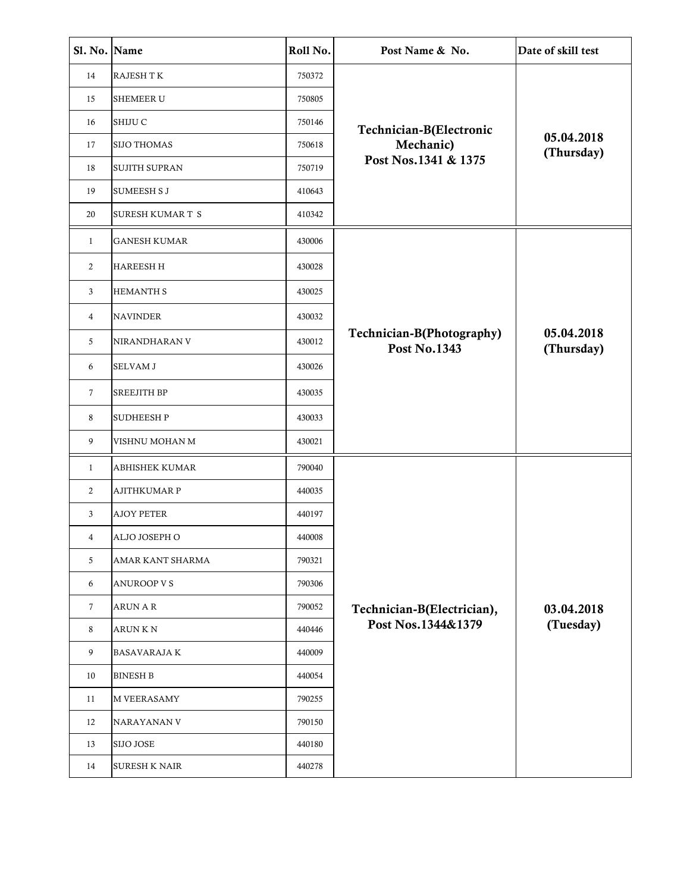| Sl. No. Name |                         | Roll No. | Post Name & No.                                  | Date of skill test       |
|--------------|-------------------------|----------|--------------------------------------------------|--------------------------|
| 14           | <b>RAJESH TK</b>        | 750372   |                                                  |                          |
| 15           | <b>SHEMEER U</b>        | 750805   |                                                  |                          |
| 16           | SHIJU C                 | 750146   | Technician-B(Electronic                          |                          |
| 17           | <b>SIJO THOMAS</b>      | 750618   | Mechanic)                                        | 05.04.2018<br>(Thursday) |
| 18           | <b>SUJITH SUPRAN</b>    | 750719   | Post Nos.1341 & 1375                             |                          |
| 19           | <b>SUMEESH SJ</b>       | 410643   |                                                  |                          |
| 20           | <b>SURESH KUMAR T S</b> | 410342   |                                                  |                          |
| $\mathbf{1}$ | <b>GANESH KUMAR</b>     | 430006   |                                                  |                          |
| 2            | <b>HAREESH H</b>        | 430028   |                                                  |                          |
| 3            | <b>HEMANTH S</b>        | 430025   |                                                  |                          |
| 4            | <b>NAVINDER</b>         | 430032   |                                                  |                          |
| 5            | NIRANDHARAN V           | 430012   | Technician-B(Photography)<br><b>Post No.1343</b> | 05.04.2018<br>(Thursday) |
| 6            | <b>SELVAM J</b>         | 430026   |                                                  |                          |
| 7            | <b>SREEJITH BP</b>      | 430035   |                                                  |                          |
| 8            | <b>SUDHEESHP</b>        | 430033   |                                                  |                          |
| 9            | VISHNU MOHAN M          | 430021   |                                                  |                          |
| $\mathbf{1}$ | <b>ABHISHEK KUMAR</b>   | 790040   |                                                  |                          |
| 2            | <b>AJITHKUMAR P</b>     | 440035   |                                                  |                          |
| 3            | <b>AJOY PETER</b>       | 440197   |                                                  |                          |
| 4            | ALJO JOSEPH O           | 440008   |                                                  |                          |
| 5            | AMAR KANT SHARMA        | 790321   |                                                  |                          |
| 6            | <b>ANUROOP V S</b>      | 790306   |                                                  |                          |
| 7            | <b>ARUN A R</b>         | 790052   | Technician-B(Electrician),                       | 03.04.2018               |
| 8            | <b>ARUN K N</b>         | 440446   | Post Nos.1344&1379                               | (Tuesday)                |
| 9            | <b>BASAVARAJA K</b>     | 440009   |                                                  |                          |
| 10           | <b>BINESH B</b>         | 440054   |                                                  |                          |
| 11           | <b>M VEERASAMY</b>      | 790255   |                                                  |                          |
| 12           | NARAYANAN V             | 790150   |                                                  |                          |
| 13           | <b>SIJO JOSE</b>        | 440180   |                                                  |                          |
| 14           | <b>SURESH K NAIR</b>    | 440278   |                                                  |                          |